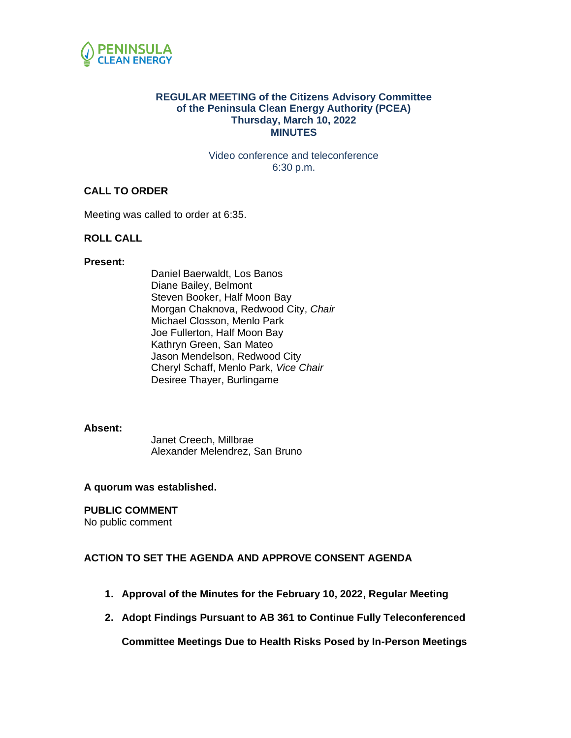

### **REGULAR MEETING of the Citizens Advisory Committee of the Peninsula Clean Energy Authority (PCEA) Thursday, March 10, 2022 MINUTES**

Video conference and teleconference 6:30 p.m.

### **CALL TO ORDER**

Meeting was called to order at 6:35.

### **ROLL CALL**

#### **Present:**

Daniel Baerwaldt, Los Banos Diane Bailey, Belmont Steven Booker, Half Moon Bay Morgan Chaknova, Redwood City, *Chair* Michael Closson, Menlo Park Joe Fullerton, Half Moon Bay Kathryn Green, San Mateo Jason Mendelson, Redwood City Cheryl Schaff, Menlo Park, *Vice Chair* Desiree Thayer, Burlingame

#### **Absent:**

Janet Creech, Millbrae Alexander Melendrez, San Bruno

#### **A quorum was established.**

#### **PUBLIC COMMENT**

No public comment

#### **ACTION TO SET THE AGENDA AND APPROVE CONSENT AGENDA**

- **1. Approval of the Minutes for the February 10, 2022, Regular Meeting**
- **2. Adopt Findings Pursuant to AB 361 to Continue Fully Teleconferenced**

**Committee Meetings Due to Health Risks Posed by In-Person Meetings**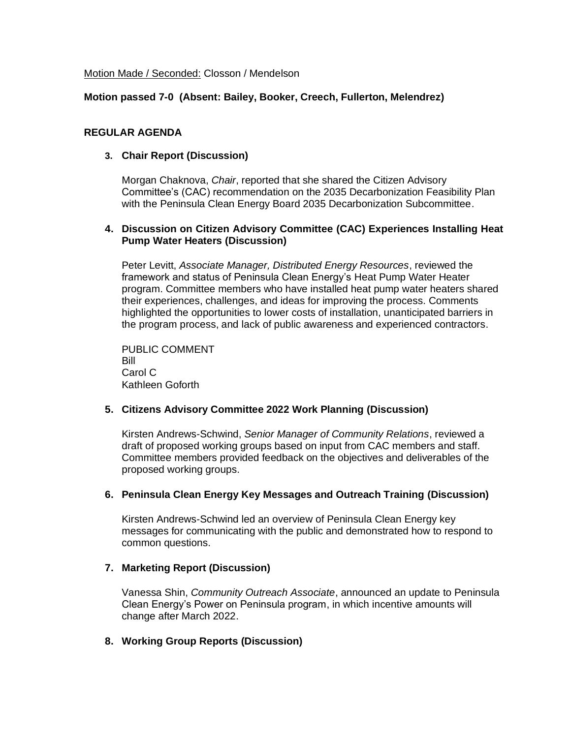Motion Made / Seconded: Closson / Mendelson

# **Motion passed 7-0 (Absent: Bailey, Booker, Creech, Fullerton, Melendrez)**

## **REGULAR AGENDA**

## **3. Chair Report (Discussion)**

Morgan Chaknova, *Chair*, reported that she shared the Citizen Advisory Committee's (CAC) recommendation on the 2035 Decarbonization Feasibility Plan with the Peninsula Clean Energy Board 2035 Decarbonization Subcommittee.

## **4. Discussion on Citizen Advisory Committee (CAC) Experiences Installing Heat Pump Water Heaters (Discussion)**

Peter Levitt, *Associate Manager, Distributed Energy Resources*, reviewed the framework and status of Peninsula Clean Energy's Heat Pump Water Heater program. Committee members who have installed heat pump water heaters shared their experiences, challenges, and ideas for improving the process. Comments highlighted the opportunities to lower costs of installation, unanticipated barriers in the program process, and lack of public awareness and experienced contractors.

PUBLIC COMMENT Bill Carol C Kathleen Goforth

# **5. Citizens Advisory Committee 2022 Work Planning (Discussion)**

Kirsten Andrews-Schwind, *Senior Manager of Community Relations*, reviewed a draft of proposed working groups based on input from CAC members and staff. Committee members provided feedback on the objectives and deliverables of the proposed working groups.

#### **6. Peninsula Clean Energy Key Messages and Outreach Training (Discussion)**

Kirsten Andrews-Schwind led an overview of Peninsula Clean Energy key messages for communicating with the public and demonstrated how to respond to common questions.

# **7. Marketing Report (Discussion)**

Vanessa Shin, *Community Outreach Associate*, announced an update to Peninsula Clean Energy's Power on Peninsula program, in which incentive amounts will change after March 2022.

# **8. Working Group Reports (Discussion)**